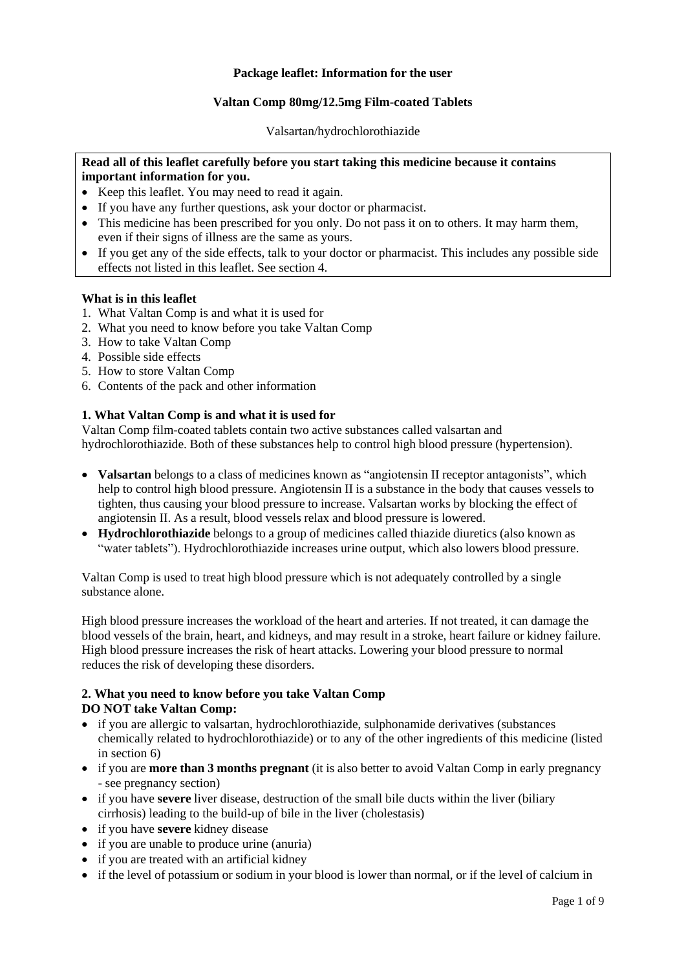### **Package leaflet: Information for the user**

### **Valtan Comp 80mg/12.5mg Film-coated Tablets**

Valsartan/hydrochlorothiazide

# **Read all of this leaflet carefully before you start taking this medicine because it contains important information for you.**

- Keep this leaflet. You may need to read it again.
- If you have any further questions, ask your doctor or pharmacist.
- This medicine has been prescribed for you only. Do not pass it on to others. It may harm them, even if their signs of illness are the same as yours.
- If you get any of the side effects, talk to your doctor or pharmacist. This includes any possible side effects not listed in this leaflet. See section 4.

### **What is in this leaflet**

- 1. What Valtan Comp is and what it is used for
- 2. What you need to know before you take Valtan Comp
- 3. How to take Valtan Comp
- 4. Possible side effects
- 5. How to store Valtan Comp
- 6. Contents of the pack and other information

## **1. What Valtan Comp is and what it is used for**

Valtan Comp film-coated tablets contain two active substances called valsartan and hydrochlorothiazide. Both of these substances help to control high blood pressure (hypertension).

- **Valsartan** belongs to a class of medicines known as "angiotensin II receptor antagonists", which help to control high blood pressure. Angiotensin II is a substance in the body that causes vessels to tighten, thus causing your blood pressure to increase. Valsartan works by blocking the effect of angiotensin II. As a result, blood vessels relax and blood pressure is lowered.
- **Hydrochlorothiazide** belongs to a group of medicines called thiazide diuretics (also known as "water tablets"). Hydrochlorothiazide increases urine output, which also lowers blood pressure.

Valtan Comp is used to treat high blood pressure which is not adequately controlled by a single substance alone.

High blood pressure increases the workload of the heart and arteries. If not treated, it can damage the blood vessels of the brain, heart, and kidneys, and may result in a stroke, heart failure or kidney failure. High blood pressure increases the risk of heart attacks. Lowering your blood pressure to normal reduces the risk of developing these disorders.

## **2. What you need to know before you take Valtan Comp DO NOT take Valtan Comp:**

- if you are allergic to valsartan, hydrochlorothiazide, sulphonamide derivatives (substances chemically related to hydrochlorothiazide) or to any of the other ingredients of this medicine (listed in section 6)
- if you are **more than 3 months pregnant** (it is also better to avoid Valtan Comp in early pregnancy - see pregnancy section)
- if you have **severe** liver disease, destruction of the small bile ducts within the liver (biliary cirrhosis) leading to the build-up of bile in the liver (cholestasis)
- if you have **severe** kidney disease
- if you are unable to produce urine (anuria)
- if you are treated with an artificial kidney
- if the level of potassium or sodium in your blood is lower than normal, or if the level of calcium in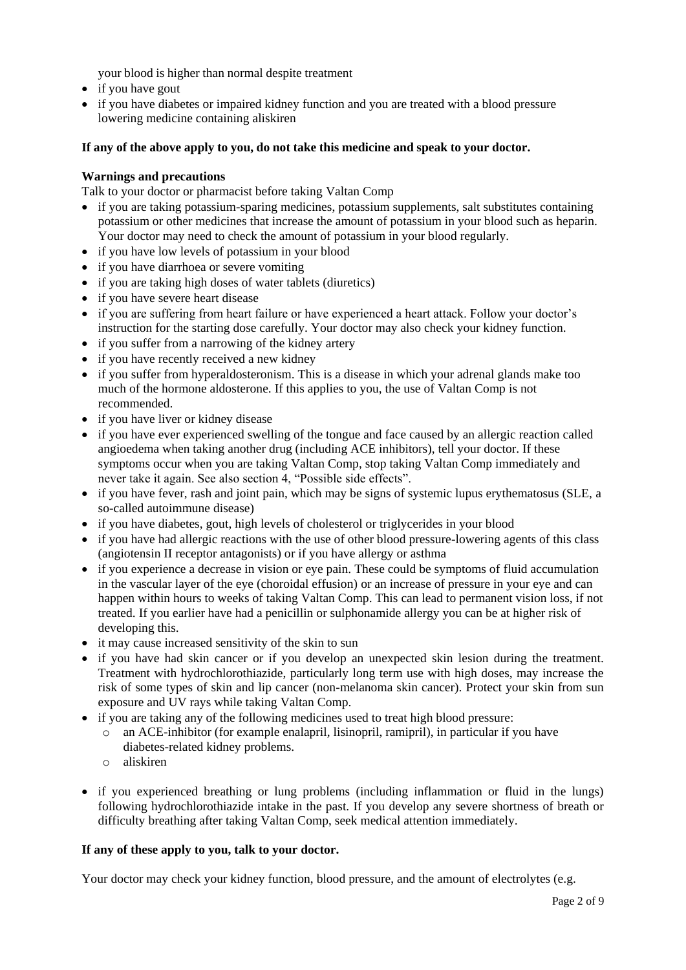your blood is higher than normal despite treatment

- if you have gout
- if you have diabetes or impaired kidney function and you are treated with a blood pressure lowering medicine containing aliskiren

## **If any of the above apply to you, do not take this medicine and speak to your doctor.**

### **Warnings and precautions**

Talk to your doctor or pharmacist before taking Valtan Comp

- if you are taking potassium-sparing medicines, potassium supplements, salt substitutes containing potassium or other medicines that increase the amount of potassium in your blood such as heparin. Your doctor may need to check the amount of potassium in your blood regularly.
- if you have low levels of potassium in your blood
- if you have diarrhoea or severe vomiting
- if you are taking high doses of water tablets (diuretics)
- if you have severe heart disease
- if you are suffering from heart failure or have experienced a heart attack. Follow your doctor's instruction for the starting dose carefully. Your doctor may also check your kidney function.
- if you suffer from a narrowing of the kidney artery
- if you have recently received a new kidney
- if you suffer from hyperaldosteronism. This is a disease in which your adrenal glands make too much of the hormone aldosterone. If this applies to you, the use of Valtan Comp is not recommended.
- if you have liver or kidney disease
- if you have ever experienced swelling of the tongue and face caused by an allergic reaction called angioedema when taking another drug (including ACE inhibitors), tell your doctor. If these symptoms occur when you are taking Valtan Comp, stop taking Valtan Comp immediately and never take it again. See also section 4, "Possible side effects".
- if you have fever, rash and joint pain, which may be signs of systemic lupus erythematosus (SLE, a so-called autoimmune disease)
- if you have diabetes, gout, high levels of cholesterol or triglycerides in your blood
- if you have had allergic reactions with the use of other blood pressure-lowering agents of this class (angiotensin II receptor antagonists) or if you have allergy or asthma
- if you experience a decrease in vision or eye pain. These could be symptoms of fluid accumulation in the vascular layer of the eye (choroidal effusion) or an increase of pressure in your eye and can happen within hours to weeks of taking Valtan Comp. This can lead to permanent vision loss, if not treated. If you earlier have had a penicillin or sulphonamide allergy you can be at higher risk of developing this.
- it may cause increased sensitivity of the skin to sun
- if you have had skin cancer or if you develop an unexpected skin lesion during the treatment. Treatment with hydrochlorothiazide, particularly long term use with high doses, may increase the risk of some types of skin and lip cancer (non-melanoma skin cancer). Protect your skin from sun exposure and UV rays while taking Valtan Comp.
- if you are taking any of the following medicines used to treat high blood pressure:
	- o an ACE-inhibitor (for example enalapril, lisinopril, ramipril), in particular if you have diabetes-related kidney problems.
	- o aliskiren
- if you experienced breathing or lung problems (including inflammation or fluid in the lungs) following hydrochlorothiazide intake in the past. If you develop any severe shortness of breath or difficulty breathing after taking Valtan Comp, seek medical attention immediately.

### **If any of these apply to you, talk to your doctor.**

Your doctor may check your kidney function, blood pressure, and the amount of electrolytes (e.g.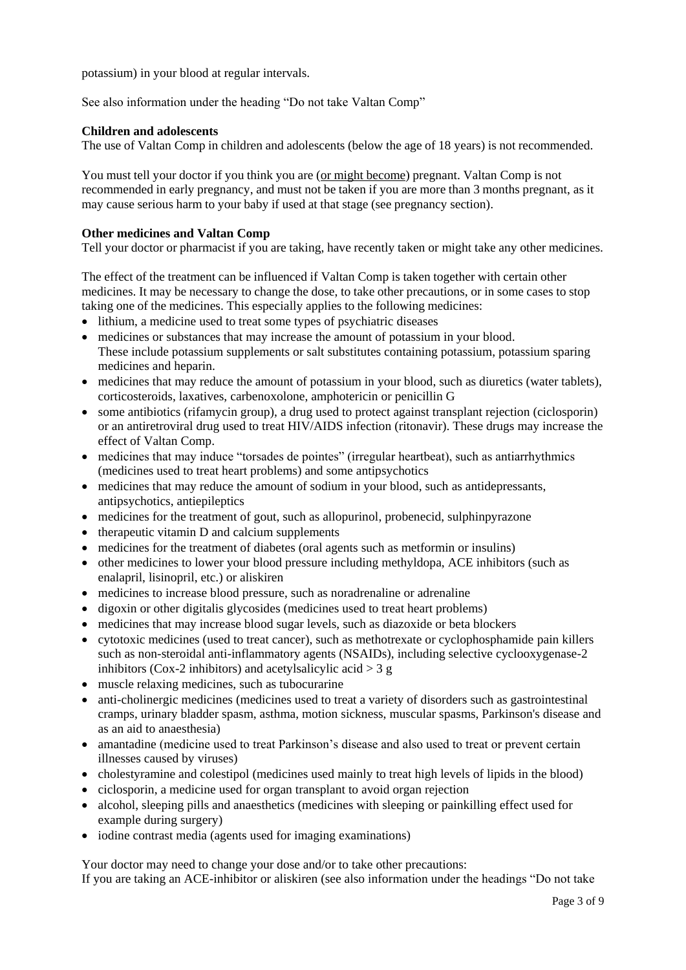potassium) in your blood at regular intervals.

See also information under the heading "Do not take Valtan Comp"

#### **Children and adolescents**

The use of Valtan Comp in children and adolescents (below the age of 18 years) is not recommended.

You must tell your doctor if you think you are (or might become) pregnant. Valtan Comp is not recommended in early pregnancy, and must not be taken if you are more than 3 months pregnant, as it may cause serious harm to your baby if used at that stage (see pregnancy section).

### **Other medicines and Valtan Comp**

Tell your doctor or pharmacist if you are taking, have recently taken or might take any other medicines.

The effect of the treatment can be influenced if Valtan Comp is taken together with certain other medicines. It may be necessary to change the dose, to take other precautions, or in some cases to stop taking one of the medicines. This especially applies to the following medicines:

- lithium, a medicine used to treat some types of psychiatric diseases
- medicines or substances that may increase the amount of potassium in your blood. These include potassium supplements or salt substitutes containing potassium, potassium sparing medicines and heparin.
- medicines that may reduce the amount of potassium in your blood, such as diuretics (water tablets), corticosteroids, laxatives, carbenoxolone, amphotericin or penicillin G
- some antibiotics (rifamycin group), a drug used to protect against transplant rejection (ciclosporin) or an antiretroviral drug used to treat HIV/AIDS infection (ritonavir). These drugs may increase the effect of Valtan Comp.
- medicines that may induce "torsades de pointes" (irregular heartbeat), such as antiarrhythmics (medicines used to treat heart problems) and some antipsychotics
- medicines that may reduce the amount of sodium in your blood, such as antidepressants, antipsychotics, antiepileptics
- medicines for the treatment of gout, such as allopurinol, probenecid, sulphinpyrazone
- therapeutic vitamin D and calcium supplements
- medicines for the treatment of diabetes (oral agents such as metformin or insulins)
- other medicines to lower your blood pressure including methyldopa, ACE inhibitors (such as enalapril, lisinopril, etc.) or aliskiren
- medicines to increase blood pressure, such as noradrenaline or adrenaline
- digoxin or other digitalis glycosides (medicines used to treat heart problems)
- medicines that may increase blood sugar levels, such as diazoxide or beta blockers
- cytotoxic medicines (used to treat cancer), such as methotrexate or cyclophosphamide pain killers such as non-steroidal anti-inflammatory agents (NSAIDs), including selective cyclooxygenase-2 inhibitors (Cox-2 inhibitors) and acetylsalicylic acid  $>$  3 g
- muscle relaxing medicines, such as tubocurarine
- anti-cholinergic medicines (medicines used to treat a variety of disorders such as gastrointestinal cramps, urinary bladder spasm, asthma, motion sickness, muscular spasms, Parkinson's disease and as an aid to anaesthesia)
- amantadine (medicine used to treat Parkinson's disease and also used to treat or prevent certain illnesses caused by viruses)
- cholestyramine and colestipol (medicines used mainly to treat high levels of lipids in the blood)
- ciclosporin, a medicine used for organ transplant to avoid organ rejection
- alcohol, sleeping pills and anaesthetics (medicines with sleeping or painkilling effect used for example during surgery)
- iodine contrast media (agents used for imaging examinations)

Your doctor may need to change your dose and/or to take other precautions:

If you are taking an ACE-inhibitor or aliskiren (see also information under the headings "Do not take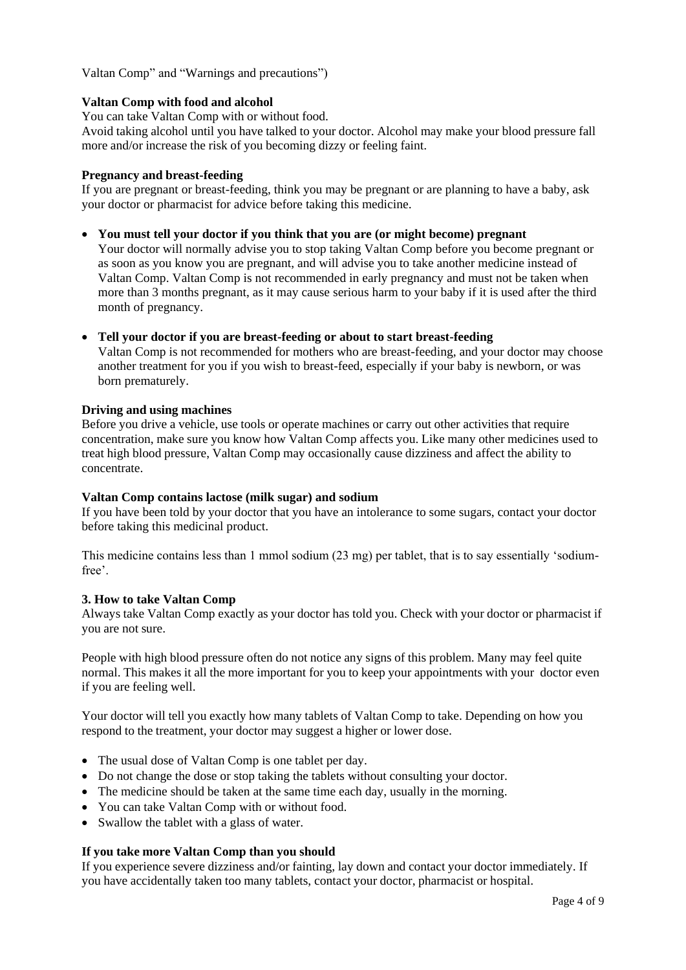Valtan Comp" and "Warnings and precautions")

### **Valtan Comp with food and alcohol**

You can take Valtan Comp with or without food.

Avoid taking alcohol until you have talked to your doctor. Alcohol may make your blood pressure fall more and/or increase the risk of you becoming dizzy or feeling faint.

#### **Pregnancy and breast-feeding**

If you are pregnant or breast-feeding, think you may be pregnant or are planning to have a baby, ask your doctor or pharmacist for advice before taking this medicine.

### **You must tell your doctor if you think that you are (or might become) pregnant**

Your doctor will normally advise you to stop taking Valtan Comp before you become pregnant or as soon as you know you are pregnant, and will advise you to take another medicine instead of Valtan Comp. Valtan Comp is not recommended in early pregnancy and must not be taken when more than 3 months pregnant, as it may cause serious harm to your baby if it is used after the third month of pregnancy.

#### **Tell your doctor if you are breast-feeding or about to start breast-feeding**

Valtan Comp is not recommended for mothers who are breast-feeding, and your doctor may choose another treatment for you if you wish to breast-feed, especially if your baby is newborn, or was born prematurely.

#### **Driving and using machines**

Before you drive a vehicle, use tools or operate machines or carry out other activities that require concentration, make sure you know how Valtan Comp affects you. Like many other medicines used to treat high blood pressure, Valtan Comp may occasionally cause dizziness and affect the ability to concentrate.

### **Valtan Comp contains lactose (milk sugar) and sodium**

If you have been told by your doctor that you have an intolerance to some sugars, contact your doctor before taking this medicinal product.

This medicine contains less than 1 mmol sodium (23 mg) per tablet, that is to say essentially 'sodiumfree'.

### **3. How to take Valtan Comp**

Always take Valtan Comp exactly as your doctor has told you. Check with your doctor or pharmacist if you are not sure.

People with high blood pressure often do not notice any signs of this problem. Many may feel quite normal. This makes it all the more important for you to keep your appointments with your doctor even if you are feeling well.

Your doctor will tell you exactly how many tablets of Valtan Comp to take. Depending on how you respond to the treatment, your doctor may suggest a higher or lower dose.

- The usual dose of Valtan Comp is one tablet per day.
- Do not change the dose or stop taking the tablets without consulting your doctor.
- The medicine should be taken at the same time each day, usually in the morning.
- You can take Valtan Comp with or without food.
- Swallow the tablet with a glass of water.

### **If you take more Valtan Comp than you should**

If you experience severe dizziness and/or fainting, lay down and contact your doctor immediately. If you have accidentally taken too many tablets, contact your doctor, pharmacist or hospital.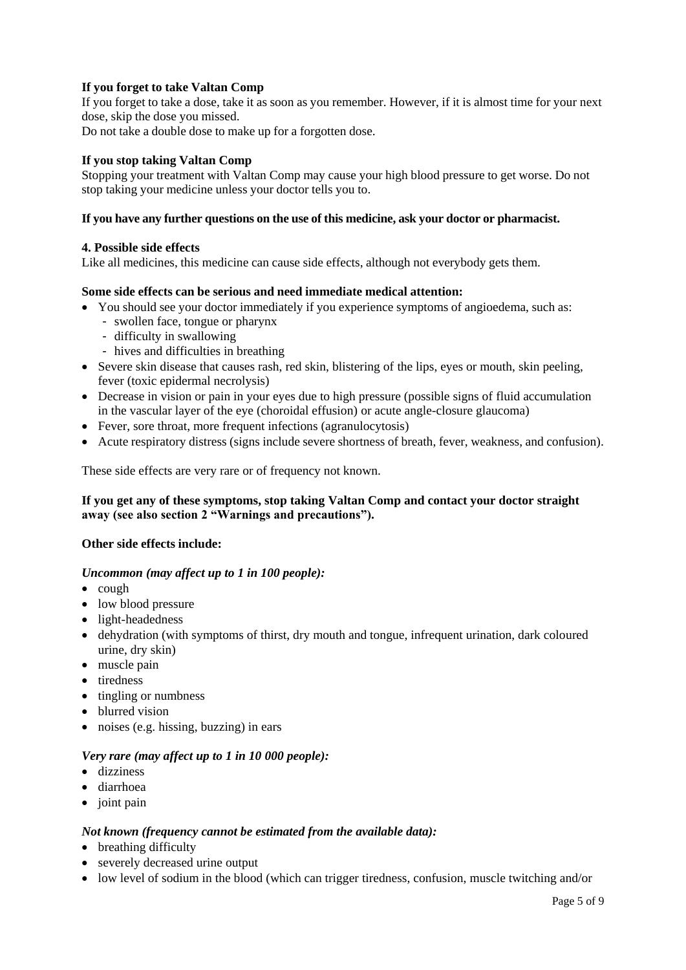# **If you forget to take Valtan Comp**

If you forget to take a dose, take it as soon as you remember. However, if it is almost time for your next dose, skip the dose you missed.

Do not take a double dose to make up for a forgotten dose.

#### **If you stop taking Valtan Comp**

Stopping your treatment with Valtan Comp may cause your high blood pressure to get worse. Do not stop taking your medicine unless your doctor tells you to.

#### **If you have any further questions on the use of this medicine, ask your doctor or pharmacist.**

#### **4. Possible side effects**

Like all medicines, this medicine can cause side effects, although not everybody gets them.

#### **Some side effects can be serious and need immediate medical attention:**

- You should see your doctor immediately if you experience symptoms of angioedema, such as:
	- swollen face, tongue or pharynx
	- difficulty in swallowing
	- hives and difficulties in breathing
- Severe skin disease that causes rash, red skin, blistering of the lips, eyes or mouth, skin peeling, fever (toxic epidermal necrolysis)
- Decrease in vision or pain in your eyes due to high pressure (possible signs of fluid accumulation in the vascular layer of the eye (choroidal effusion) or acute angle-closure glaucoma)
- Fever, sore throat, more frequent infections (agranulocytosis)
- Acute respiratory distress (signs include severe shortness of breath, fever, weakness, and confusion).

These side effects are very rare or of frequency not known.

## **If you get any of these symptoms, stop taking Valtan Comp and contact your doctor straight away (see also section 2 "Warnings and precautions").**

### **Other side effects include:**

### *Uncommon (may affect up to 1 in 100 people):*

- $\bullet$  cough
- low blood pressure
- light-headedness
- dehydration (with symptoms of thirst, dry mouth and tongue, infrequent urination, dark coloured urine, dry skin)
- muscle pain
- tiredness
- tingling or numbness
- blurred vision
- noises (e.g. hissing, buzzing) in ears

### *Very rare (may affect up to 1 in 10 000 people):*

- dizziness
- diarrhoea
- $\bullet$  joint pain

### *Not known (frequency cannot be estimated from the available data):*

- breathing difficulty
- severely decreased urine output
- low level of sodium in the blood (which can trigger tiredness, confusion, muscle twitching and/or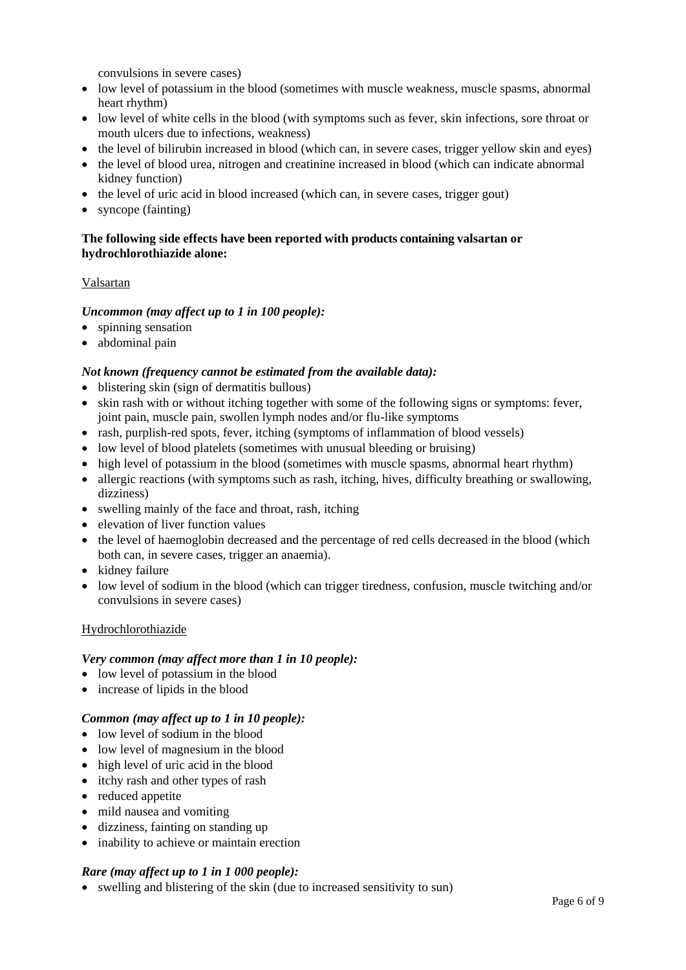convulsions in severe cases)

- low level of potassium in the blood (sometimes with muscle weakness, muscle spasms, abnormal heart rhythm)
- low level of white cells in the blood (with symptoms such as fever, skin infections, sore throat or mouth ulcers due to infections, weakness)
- the level of bilirubin increased in blood (which can, in severe cases, trigger yellow skin and eyes)
- the level of blood urea, nitrogen and creatinine increased in blood (which can indicate abnormal kidney function)
- the level of uric acid in blood increased (which can, in severe cases, trigger gout)
- syncope (fainting)

# **The following side effects have been reported with products containing valsartan or hydrochlorothiazide alone:**

### Valsartan

### *Uncommon (may affect up to 1 in 100 people):*

- spinning sensation
- abdominal pain

### *Not known (frequency cannot be estimated from the available data):*

- blistering skin (sign of dermatitis bullous)
- skin rash with or without itching together with some of the following signs or symptoms: fever, joint pain, muscle pain, swollen lymph nodes and/or flu-like symptoms
- rash, purplish-red spots, fever, itching (symptoms of inflammation of blood vessels)
- low level of blood platelets (sometimes with unusual bleeding or bruising)
- high level of potassium in the blood (sometimes with muscle spasms, abnormal heart rhythm)
- allergic reactions (with symptoms such as rash, itching, hives, difficulty breathing or swallowing, dizziness)
- swelling mainly of the face and throat, rash, itching
- elevation of liver function values
- the level of haemoglobin decreased and the percentage of red cells decreased in the blood (which both can, in severe cases, trigger an anaemia).
- kidney failure
- low level of sodium in the blood (which can trigger tiredness, confusion, muscle twitching and/or convulsions in severe cases)

### Hydrochlorothiazide

### *Very common (may affect more than 1 in 10 people):*

- low level of potassium in the blood
- increase of lipids in the blood

### *Common (may affect up to 1 in 10 people):*

- low level of sodium in the blood
- low level of magnesium in the blood
- high level of uric acid in the blood
- itchy rash and other types of rash
- reduced appetite
- mild nausea and vomiting
- dizziness, fainting on standing up
- inability to achieve or maintain erection

### *Rare (may affect up to 1 in 1 000 people):*

swelling and blistering of the skin (due to increased sensitivity to sun)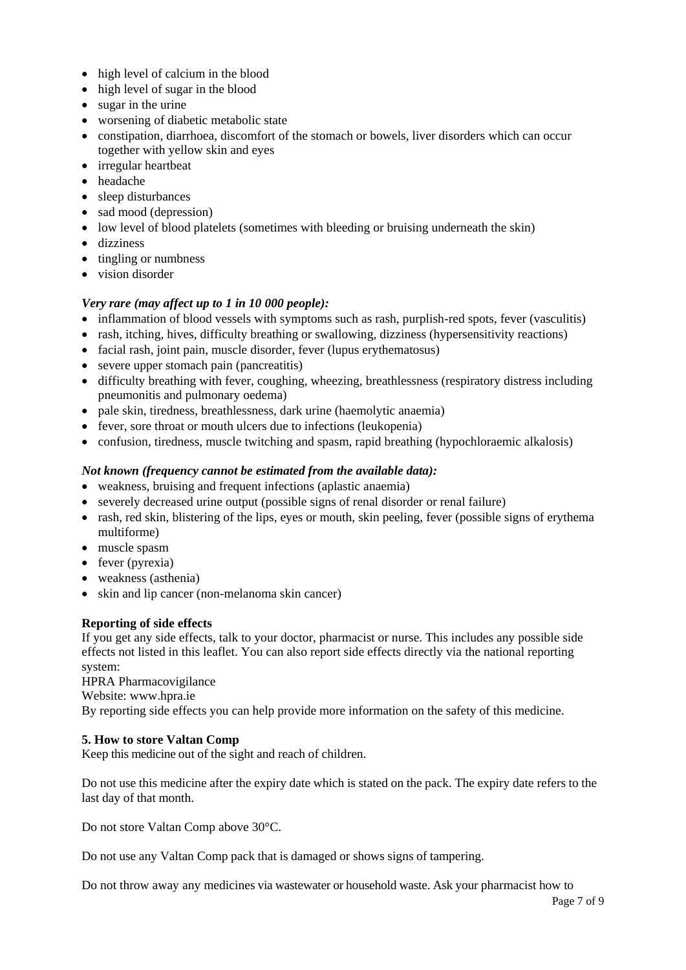- high level of calcium in the blood
- high level of sugar in the blood
- sugar in the urine
- worsening of diabetic metabolic state
- constipation, diarrhoea, discomfort of the stomach or bowels, liver disorders which can occur together with yellow skin and eyes
- irregular heartbeat
- headache
- sleep disturbances
- sad mood (depression)
- low level of blood platelets (sometimes with bleeding or bruising underneath the skin)
- dizziness
- tingling or numbness
- vision disorder

## *Very rare (may affect up to 1 in 10 000 people):*

- inflammation of blood vessels with symptoms such as rash, purplish-red spots, fever (vasculitis)
- rash, itching, hives, difficulty breathing or swallowing, dizziness (hypersensitivity reactions)
- facial rash, joint pain, muscle disorder, fever (lupus erythematosus)
- severe upper stomach pain (pancreatitis)
- difficulty breathing with fever, coughing, wheezing, breathlessness (respiratory distress including pneumonitis and pulmonary oedema)
- pale skin, tiredness, breathlessness, dark urine (haemolytic anaemia)
- fever, sore throat or mouth ulcers due to infections (leukopenia)
- confusion, tiredness, muscle twitching and spasm, rapid breathing (hypochloraemic alkalosis)

## *Not known (frequency cannot be estimated from the available data):*

- weakness, bruising and frequent infections (aplastic anaemia)
- severely decreased urine output (possible signs of renal disorder or renal failure)
- rash, red skin, blistering of the lips, eyes or mouth, skin peeling, fever (possible signs of erythema multiforme)
- muscle spasm
- $\bullet$  fever (pyrexia)
- weakness (asthenia)
- skin and lip cancer (non-melanoma skin cancer)

### **Reporting of side effects**

If you get any side effects, talk to your doctor, pharmacist or nurse. This includes any possible side effects not listed in this leaflet. You can also report side effects directly via the national reporting system:

HPRA Pharmacovigilance

Website: [www.hpra.ie](http://www.hpra.ie/)

By reporting side effects you can help provide more information on the safety of this medicine.

### **5. How to store Valtan Comp**

Keep this medicine out of the sight and reach of children.

Do not use this medicine after the expiry date which is stated on the pack. The expiry date refers to the last day of that month.

Do not store Valtan Comp above 30°C.

Do not use any Valtan Comp pack that is damaged or shows signs of tampering.

Do not throw away any medicines via wastewater or household waste. Ask your pharmacist how to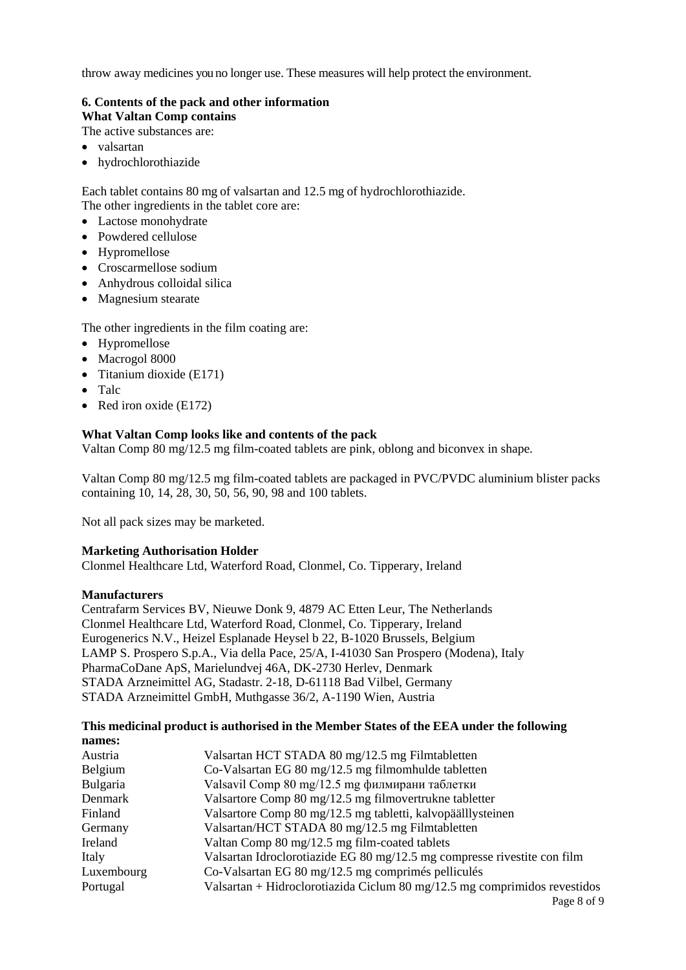throw away medicines you no longer use. These measures will help protect the environment.

# **6. Contents of the pack and other information**

**What Valtan Comp contains**

The active substances are:

- valsartan
- hydrochlorothiazide

Each tablet contains 80 mg of valsartan and 12.5 mg of hydrochlorothiazide. The other ingredients in the tablet core are:

- Lactose monohydrate
- Powdered cellulose
- Hypromellose
- Croscarmellose sodium
- Anhydrous colloidal silica
- Magnesium stearate

The other ingredients in the film coating are:

- Hypromellose
- Macrogol 8000
- $\bullet$  Titanium dioxide (E171)
- Talc
- Red iron oxide (E172)

## **What Valtan Comp looks like and contents of the pack**

Valtan Comp 80 mg/12.5 mg film-coated tablets are pink, oblong and biconvex in shape.

Valtan Comp 80 mg/12.5 mg film-coated tablets are packaged in PVC/PVDC aluminium blister packs containing 10, 14, 28, 30, 50, 56, 90, 98 and 100 tablets.

Not all pack sizes may be marketed.

### **Marketing Authorisation Holder**

Clonmel Healthcare Ltd, Waterford Road, Clonmel, Co. Tipperary, Ireland

### **Manufacturers**

Centrafarm Services BV, Nieuwe Donk 9, 4879 AC Etten Leur, The Netherlands Clonmel Healthcare Ltd, Waterford Road, Clonmel, Co. Tipperary, Ireland Eurogenerics N.V., Heizel Esplanade Heysel b 22, B-1020 Brussels, Belgium LAMP S. Prospero S.p.A., Via della Pace, 25/A, I-41030 San Prospero (Modena), Italy PharmaCoDane ApS, Marielundvej 46A, DK-2730 Herlev, Denmark STADA Arzneimittel AG, Stadastr. 2-18, D-61118 Bad Vilbel, Germany STADA Arzneimittel GmbH, Muthgasse 36/2, A-1190 Wien, Austria

#### **This medicinal product is authorised in the Member States of the EEA under the following names:**

| Austria    | Valsartan HCT STADA 80 mg/12.5 mg Filmtabletten                           |
|------------|---------------------------------------------------------------------------|
| Belgium    | Co-Valsartan EG 80 mg/12.5 mg filmomhulde tabletten                       |
| Bulgaria   | Valsavil Comp 80 mg/12.5 mg филмирани таблетки                            |
| Denmark    | Valsartore Comp 80 mg/12.5 mg filmovertrukne tabletter                    |
| Finland    | Valsartore Comp 80 mg/12.5 mg tabletti, kalvopäälllysteinen               |
| Germany    | Valsartan/HCT STADA 80 mg/12.5 mg Filmtabletten                           |
| Ireland    | Valtan Comp 80 mg/12.5 mg film-coated tablets                             |
| Italy      | Valsartan Idroclorotiazide EG 80 mg/12.5 mg compresse rivestite con film  |
| Luxembourg | Co-Valsartan EG 80 mg/12.5 mg comprimés pelliculés                        |
| Portugal   | Valsartan + Hidroclorotiazida Ciclum 80 mg/12.5 mg comprimidos revestidos |
|            | Page 8 of 9                                                               |